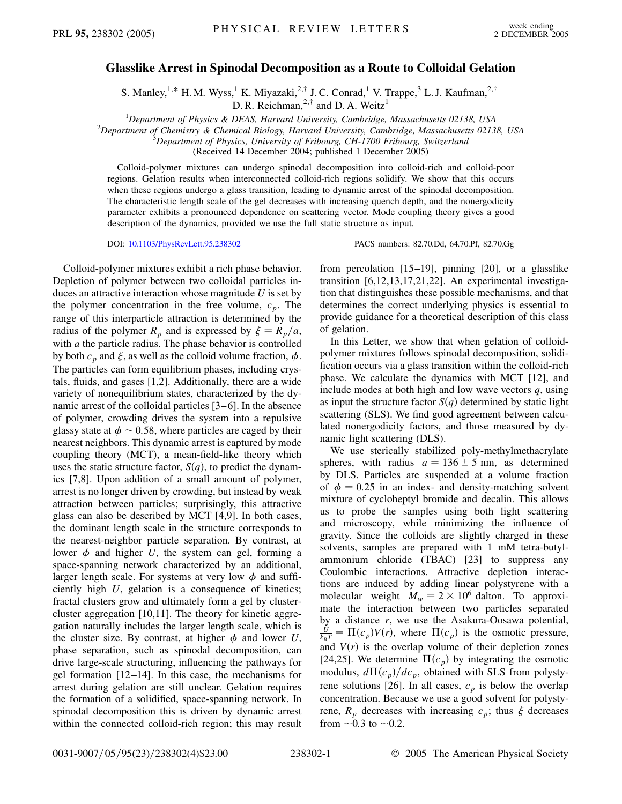## **Glasslike Arrest in Spinodal Decomposition as a Route to Colloidal Gelation**

S. Manley,<sup>1,\*</sup> H. M. Wyss,<sup>1</sup> K. Miyazaki,<sup>2,†</sup> J. C. Conrad,<sup>1</sup> V. Trappe,<sup>3</sup> L. J. Kaufman,<sup>2,†</sup> D. R. Reichman,  $2, \dagger$  and D. A. Weitz<sup>1</sup>

<sup>1</sup> Department of Physics & DEAS, Harvard University, Cambridge, Massachusetts 02138, USA<br><sup>2</sup> Department of Chamistry & Chamisal Biology, Harvard University, Cambridge, Massachusetts 0213

*Department of Chemistry & Chemical Biology, Harvard University, Cambridge, Massachusetts 02138, USA* <sup>3</sup>

*Department of Physics, University of Fribourg, CH-1700 Fribourg, Switzerland*

(Received 14 December 2004; published 1 December 2005)

Colloid-polymer mixtures can undergo spinodal decomposition into colloid-rich and colloid-poor regions. Gelation results when interconnected colloid-rich regions solidify. We show that this occurs when these regions undergo a glass transition, leading to dynamic arrest of the spinodal decomposition. The characteristic length scale of the gel decreases with increasing quench depth, and the nonergodicity parameter exhibits a pronounced dependence on scattering vector. Mode coupling theory gives a good description of the dynamics, provided we use the full static structure as input.

DOI: [10.1103/PhysRevLett.95.238302](http://dx.doi.org/10.1103/PhysRevLett.95.238302) PACS numbers: 82.70.Dd, 64.70.Pf, 82.70.Gg

Colloid-polymer mixtures exhibit a rich phase behavior. Depletion of polymer between two colloidal particles induces an attractive interaction whose magnitude *U* is set by the polymer concentration in the free volume,  $c_p$ . The range of this interparticle attraction is determined by the radius of the polymer  $R_p$  and is expressed by  $\xi = R_p/a$ , with *a* the particle radius. The phase behavior is controlled by both  $c_p$  and  $\xi$ , as well as the colloid volume fraction,  $\phi$ . The particles can form equilibrium phases, including crystals, fluids, and gases [1,2]. Additionally, there are a wide variety of nonequilibrium states, characterized by the dynamic arrest of the colloidal particles [3–6]. In the absence of polymer, crowding drives the system into a repulsive glassy state at  $\phi \sim 0.58$ , where particles are caged by their nearest neighbors. This dynamic arrest is captured by mode coupling theory (MCT), a mean-field-like theory which uses the static structure factor,  $S(q)$ , to predict the dynamics [7,8]. Upon addition of a small amount of polymer, arrest is no longer driven by crowding, but instead by weak attraction between particles; surprisingly, this attractive glass can also be described by MCT [4,9]. In both cases, the dominant length scale in the structure corresponds to the nearest-neighbor particle separation. By contrast, at lower  $\phi$  and higher *U*, the system can gel, forming a space-spanning network characterized by an additional, larger length scale. For systems at very low  $\phi$  and sufficiently high *U*, gelation is a consequence of kinetics; fractal clusters grow and ultimately form a gel by clustercluster aggregation [10,11]. The theory for kinetic aggregation naturally includes the larger length scale, which is the cluster size. By contrast, at higher  $\phi$  and lower *U*, phase separation, such as spinodal decomposition, can drive large-scale structuring, influencing the pathways for gel formation [12–14]. In this case, the mechanisms for arrest during gelation are still unclear. Gelation requires the formation of a solidified, space-spanning network. In spinodal decomposition this is driven by dynamic arrest within the connected colloid-rich region; this may result from percolation [15–19], pinning [20], or a glasslike transition [6,12,13,17,21,22]. An experimental investigation that distinguishes these possible mechanisms, and that determines the correct underlying physics is essential to provide guidance for a theoretical description of this class of gelation.

In this Letter, we show that when gelation of colloidpolymer mixtures follows spinodal decomposition, solidification occurs via a glass transition within the colloid-rich phase. We calculate the dynamics with MCT [12], and include modes at both high and low wave vectors *q*, using as input the structure factor  $S(q)$  determined by static light scattering (SLS). We find good agreement between calculated nonergodicity factors, and those measured by dynamic light scattering (DLS).

We use sterically stabilized poly-methylmethacrylate spheres, with radius  $a = 136 \pm 5$  nm, as determined by DLS. Particles are suspended at a volume fraction of  $\phi = 0.25$  in an index- and density-matching solvent mixture of cycloheptyl bromide and decalin. This allows us to probe the samples using both light scattering and microscopy, while minimizing the influence of gravity. Since the colloids are slightly charged in these solvents, samples are prepared with 1 mM tetra-butylammonium chloride (TBAC) [23] to suppress any Coulombic interactions. Attractive depletion interactions are induced by adding linear polystyrene with a molecular weight  $M_w = 2 \times 10^6$  dalton. To approximate the interaction between two particles separated by a distance *r*, we use the Asakura-Oosawa potential,  $\frac{U}{k_B T} = \Pi(c_p)V(r)$ , where  $\Pi(c_p)$  is the osmotic pressure, and  $V(r)$  is the overlap volume of their depletion zones [24,25]. We determine  $\Pi(c_p)$  by integrating the osmotic modulus,  $d\Pi(c_p)/dc_p$ , obtained with SLS from polystyrene solutions [26]. In all cases,  $c_p$  is below the overlap concentration. Because we use a good solvent for polystyrene,  $R_p$  decreases with increasing  $c_p$ ; thus  $\xi$  decreases from  $\sim$  0.3 to  $\sim$  0.2.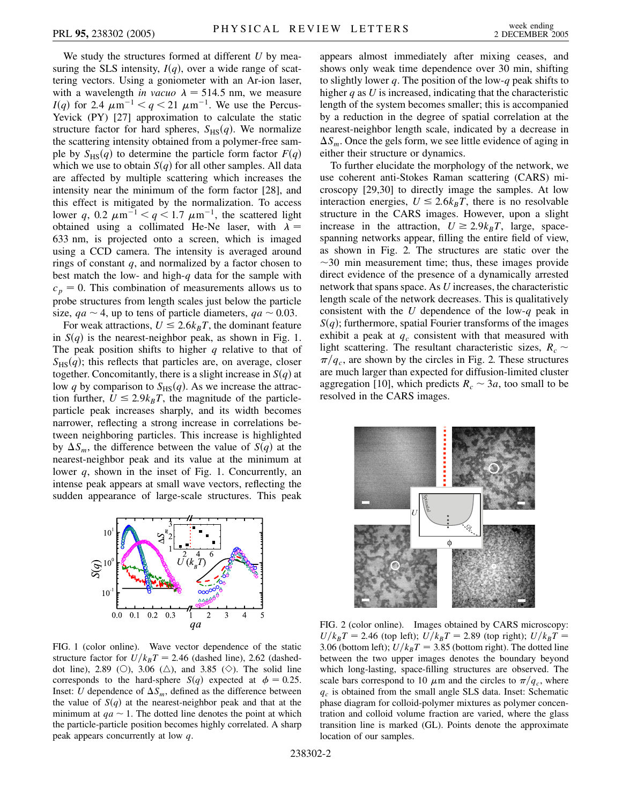We study the structures formed at different *U* by measuring the SLS intensity,  $I(q)$ , over a wide range of scattering vectors. Using a goniometer with an Ar-ion laser, with a wavelength *in vacuo*  $\lambda = 514.5$  nm, we measure *I*(*q*) for 2.4  $\mu$ m<sup>-1</sup> < *q* < 21  $\mu$ m<sup>-1</sup>. We use the Percus-Yevick (PY) [27] approximation to calculate the static structure factor for hard spheres,  $S_{\text{HS}}(q)$ . We normalize the scattering intensity obtained from a polymer-free sample by  $S_{\text{HS}}(q)$  to determine the particle form factor  $F(q)$ which we use to obtain  $S(q)$  for all other samples. All data are affected by multiple scattering which increases the intensity near the minimum of the form factor [28], and this effect is mitigated by the normalization. To access lower q, 0.2  $\mu$ m<sup>-1</sup> < q < 1.7  $\mu$ m<sup>-1</sup>, the scattered light obtained using a collimated He-Ne laser, with  $\lambda =$ 633 nm, is projected onto a screen, which is imaged using a CCD camera. The intensity is averaged around rings of constant *q*, and normalized by a factor chosen to best match the low- and high-*q* data for the sample with  $c_p = 0$ . This combination of measurements allows us to probe structures from length scales just below the particle size,  $qa \sim 4$ , up to tens of particle diameters,  $qa \sim 0.03$ .

For weak attractions,  $U \le 2.6k_BT$ , the dominant feature in  $S(q)$  is the nearest-neighbor peak, as shown in Fig. 1. The peak position shifts to higher *q* relative to that of  $S_{\text{HS}}(q)$ ; this reflects that particles are, on average, closer together. Concomitantly, there is a slight increase in  $S(q)$  at low *q* by comparison to  $S_{\text{HS}}(q)$ . As we increase the attraction further,  $U \le 2.9k_BT$ , the magnitude of the particleparticle peak increases sharply, and its width becomes narrower, reflecting a strong increase in correlations between neighboring particles. This increase is highlighted by  $\Delta S_m$ , the difference between the value of *S(q)* at the nearest-neighbor peak and its value at the minimum at lower *q*, shown in the inset of Fig. 1. Concurrently, an intense peak appears at small wave vectors, reflecting the sudden appearance of large-scale structures. This peak



FIG. 1 (color online). Wave vector dependence of the static structure factor for  $U/k_BT = 2.46$  (dashed line), 2.62 (dasheddot line), 2.89 (O), 3.06 ( $\triangle$ ), and 3.85 ( $\diamondsuit$ ). The solid line corresponds to the hard-sphere *S*(*q*) expected at  $\phi = 0.25$ . Inset: *U* dependence of  $\Delta S_m$ , defined as the difference between the value of  $S(q)$  at the nearest-neighbor peak and that at the minimum at  $qa \sim 1$ . The dotted line denotes the point at which the particle-particle position becomes highly correlated. A sharp peak appears concurrently at low *q*.

appears almost immediately after mixing ceases, and shows only weak time dependence over 30 min, shifting to slightly lower *q*. The position of the low-*q* peak shifts to higher *q* as *U* is increased, indicating that the characteristic length of the system becomes smaller; this is accompanied by a reduction in the degree of spatial correlation at the nearest-neighbor length scale, indicated by a decrease in  $\Delta S_m$ . Once the gels form, we see little evidence of aging in either their structure or dynamics.

To further elucidate the morphology of the network, we use coherent anti-Stokes Raman scattering (CARS) microscopy [29,30] to directly image the samples. At low interaction energies,  $U \le 2.6k_BT$ , there is no resolvable structure in the CARS images. However, upon a slight increase in the attraction,  $U \ge 2.9k_BT$ , large, spacespanning networks appear, filling the entire field of view, as shown in Fig. 2. The structures are static over the  $\sim$  30 min measurement time; thus, these images provide direct evidence of the presence of a dynamically arrested network that spans space. As *U* increases, the characteristic length scale of the network decreases. This is qualitatively consistent with the *U* dependence of the low-*q* peak in  $S(q)$ ; furthermore, spatial Fourier transforms of the images exhibit a peak at  $q_c$  consistent with that measured with light scattering. The resultant characteristic sizes,  $R_c \sim$  $\pi/q_c$ , are shown by the circles in Fig. 2. These structures are much larger than expected for diffusion-limited cluster aggregation [10], which predicts  $R_c \sim 3a$ , too small to be resolved in the CARS images.



FIG. 2 (color online). Images obtained by CARS microscopy:  $U/k_BT = 2.46$  (top left);  $U/k_BT = 2.89$  (top right);  $U/k_BT = 2.46$ 3.06 (bottom left);  $U/k_BT = 3.85$  (bottom right). The dotted line between the two upper images denotes the boundary beyond which long-lasting, space-filling structures are observed. The scale bars correspond to 10  $\mu$ m and the circles to  $\pi/q_c$ , where *qc* is obtained from the small angle SLS data. Inset: Schematic phase diagram for colloid-polymer mixtures as polymer concentration and colloid volume fraction are varied, where the glass transition line is marked (GL). Points denote the approximate location of our samples.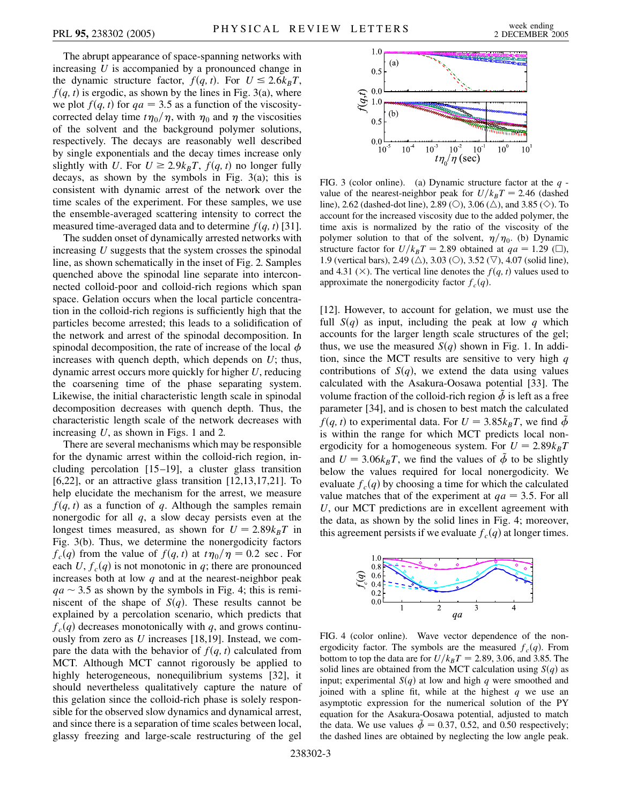The abrupt appearance of space-spanning networks with increasing *U* is accompanied by a pronounced change in the dynamic structure factor,  $f(q, t)$ . For  $U \le 2.6k_BT$ ,  $f(q, t)$  is ergodic, as shown by the lines in Fig. 3(a), where we plot  $f(q, t)$  for  $qa = 3.5$  as a function of the viscositycorrected delay time  $t\eta_0/\eta$ , with  $\eta_0$  and  $\eta$  the viscosities of the solvent and the background polymer solutions, respectively. The decays are reasonably well described by single exponentials and the decay times increase only slightly with *U*. For  $U \ge 2.9k_BT$ ,  $f(q, t)$  no longer fully decays, as shown by the symbols in Fig. 3(a); this is consistent with dynamic arrest of the network over the time scales of the experiment. For these samples, we use the ensemble-averaged scattering intensity to correct the measured time-averaged data and to determine  $f(q, t)$  [31].

The sudden onset of dynamically arrested networks with increasing *U* suggests that the system crosses the spinodal line, as shown schematically in the inset of Fig. 2. Samples quenched above the spinodal line separate into interconnected colloid-poor and colloid-rich regions which span space. Gelation occurs when the local particle concentration in the colloid-rich regions is sufficiently high that the particles become arrested; this leads to a solidification of the network and arrest of the spinodal decomposition. In spinodal decomposition, the rate of increase of the local  $\phi$ increases with quench depth, which depends on *U*; thus, dynamic arrest occurs more quickly for higher *U*, reducing the coarsening time of the phase separating system. Likewise, the initial characteristic length scale in spinodal decomposition decreases with quench depth. Thus, the characteristic length scale of the network decreases with increasing *U*, as shown in Figs. 1 and 2.

There are several mechanisms which may be responsible for the dynamic arrest within the colloid-rich region, including percolation [15–19], a cluster glass transition [6,22], or an attractive glass transition  $[12,13,17,21]$ . To help elucidate the mechanism for the arrest, we measure  $f(q, t)$  as a function of q. Although the samples remain nonergodic for all *q*, a slow decay persists even at the longest times measured, as shown for  $U = 2.89k_BT$  in Fig. 3(b). Thus, we determine the nonergodicity factors  $f_c(q)$  from the value of  $f(q, t)$  at  $t\eta_0/\eta = 0.2$  sec. For each  $U, f_c(q)$  is not monotonic in q; there are pronounced increases both at low *q* and at the nearest-neighbor peak  $qa \sim 3.5$  as shown by the symbols in Fig. 4; this is reminiscent of the shape of  $S(q)$ . These results cannot be explained by a percolation scenario, which predicts that  $f_c(q)$  decreases monotonically with *q*, and grows continuously from zero as *U* increases [18,19]. Instead, we compare the data with the behavior of  $f(q, t)$  calculated from MCT. Although MCT cannot rigorously be applied to highly heterogeneous, nonequilibrium systems [32], it should nevertheless qualitatively capture the nature of this gelation since the colloid-rich phase is solely responsible for the observed slow dynamics and dynamical arrest, and since there is a separation of time scales between local, glassy freezing and large-scale restructuring of the gel



FIG. 3 (color online). (a) Dynamic structure factor at the *q* value of the nearest-neighbor peak for  $U/k_BT = 2.46$  (dashed line), 2.62 (dashed-dot line), 2.89 (O), 3.06 ( $\triangle$ ), and 3.85 ( $\diamond$ ). To account for the increased viscosity due to the added polymer, the time axis is normalized by the ratio of the viscosity of the polymer solution to that of the solvent,  $\eta/\eta_0$ . (b) Dynamic structure factor for  $U/k_BT = 2.89$  obtained at  $qa = 1.29$  ( $\square$ ), 1.9 (vertical bars), 2.49 ( $\triangle$ ), 3.03 ( $\heartsuit$ ), 3.52 ( $\triangledown$ ), 4.07 (solid line), and 4.31 ( $\times$ ). The vertical line denotes the *f*(*q, t*) values used to approximate the nonergodicity factor  $f_c(q)$ .

[12]. However, to account for gelation, we must use the full  $S(q)$  as input, including the peak at low q which accounts for the larger length scale structures of the gel; thus, we use the measured  $S(q)$  shown in Fig. 1. In addition, since the MCT results are sensitive to very high *q* contributions of  $S(q)$ , we extend the data using values calculated with the Asakura-Oosawa potential [33]. The volume fraction of the colloid-rich region  $\tilde{\phi}$  is left as a free parameter [34], and is chosen to best match the calculated  $f(q, t)$  to experimental data. For  $U = 3.85k_BT$ , we find  $\tilde{\phi}$ is within the range for which MCT predicts local nonergodicity for a homogeneous system. For  $U = 2.89k_BT$ and  $U = 3.06k_BT$ , we find the values of  $\tilde{\phi}$  to be slightly below the values required for local nonergodicity. We evaluate  $f_c(q)$  by choosing a time for which the calculated value matches that of the experiment at  $qa = 3.5$ . For all *U*, our MCT predictions are in excellent agreement with the data, as shown by the solid lines in Fig. 4; moreover, this agreement persists if we evaluate  $f_c(q)$  at longer times.



FIG. 4 (color online). Wave vector dependence of the nonergodicity factor. The symbols are the measured  $f_c(q)$ . From bottom to top the data are for  $U/k_BT = 2.89, 3.06,$  and 3.85. The solid lines are obtained from the MCT calculation using  $S(q)$  as input; experimental  $S(q)$  at low and high q were smoothed and joined with a spline fit, while at the highest *q* we use an asymptotic expression for the numerical solution of the PY equation for the Asakura-Oosawa potential, adjusted to match the data. We use values  $\tilde{\phi} = 0.37, 0.52,$  and 0.50 respectively; the dashed lines are obtained by neglecting the low angle peak.